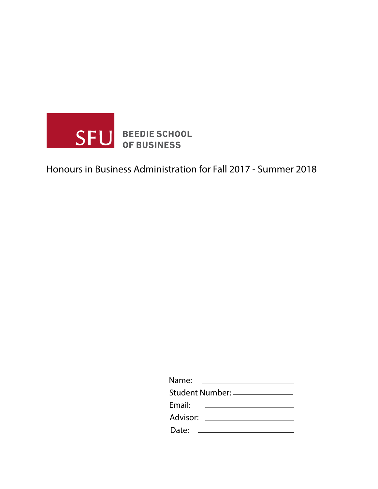

Honours in Business Administration for Fall 2017 - Summer 2018

Name: Student Number: Email: Advisor:

Date: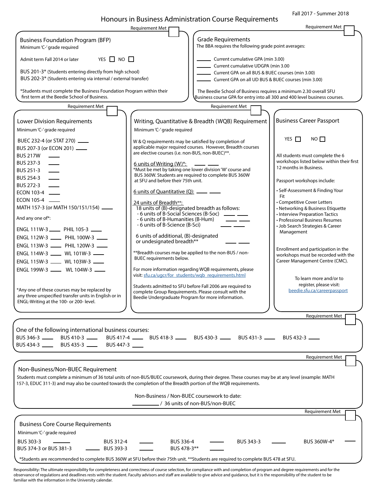Fall 2017 - Summer 2018

|                                                                                                                                                                                                                                                                                                                                                                                                                                                                                                                                                                                                                   | Requirement Met [                                                                                                                                                                                                                                                                                                                                                                                             | <u>Hollouis in business Administration Course Requirements</u>                                                                                                                                                                                                                                                                                                                                                                                                                                                                                                                                                                                   | <b>Requirement Met</b>                                                                                                                                                                                                                                                                                                                                                                                                                                                                                                                                                                                   |  |  |  |
|-------------------------------------------------------------------------------------------------------------------------------------------------------------------------------------------------------------------------------------------------------------------------------------------------------------------------------------------------------------------------------------------------------------------------------------------------------------------------------------------------------------------------------------------------------------------------------------------------------------------|---------------------------------------------------------------------------------------------------------------------------------------------------------------------------------------------------------------------------------------------------------------------------------------------------------------------------------------------------------------------------------------------------------------|--------------------------------------------------------------------------------------------------------------------------------------------------------------------------------------------------------------------------------------------------------------------------------------------------------------------------------------------------------------------------------------------------------------------------------------------------------------------------------------------------------------------------------------------------------------------------------------------------------------------------------------------------|----------------------------------------------------------------------------------------------------------------------------------------------------------------------------------------------------------------------------------------------------------------------------------------------------------------------------------------------------------------------------------------------------------------------------------------------------------------------------------------------------------------------------------------------------------------------------------------------------------|--|--|--|
| <b>Business Foundation Program (BFP)</b><br>Minimum 'C-' grade required                                                                                                                                                                                                                                                                                                                                                                                                                                                                                                                                           |                                                                                                                                                                                                                                                                                                                                                                                                               | <b>Grade Requirements</b><br>The BBA requires the following grade point averages:                                                                                                                                                                                                                                                                                                                                                                                                                                                                                                                                                                |                                                                                                                                                                                                                                                                                                                                                                                                                                                                                                                                                                                                          |  |  |  |
| YES $\Box$ NO $\Box$<br>Admit term Fall 2014 or later<br>BUS 201-3* (Students entering directly from high school)<br>BUS 202-3* (Students entering via internal / external transfer)                                                                                                                                                                                                                                                                                                                                                                                                                              |                                                                                                                                                                                                                                                                                                                                                                                                               | - Current cumulative GPA (min 3.00)<br>Current cumulative UDGPA (min 3.00<br>Current GPA on all BUS & BUEC courses (min 3.00)<br>Current GPA on all UD BUS & BUEC courses (min 3.00)                                                                                                                                                                                                                                                                                                                                                                                                                                                             |                                                                                                                                                                                                                                                                                                                                                                                                                                                                                                                                                                                                          |  |  |  |
| *Students must complete the Business Foundation Program within their<br>first term at the Beedie School of Business.                                                                                                                                                                                                                                                                                                                                                                                                                                                                                              |                                                                                                                                                                                                                                                                                                                                                                                                               | The Beedie School of Business requires a minimum 2.30 overall SFU<br>Business course GPA for entry into all 300 and 400 level business courses.                                                                                                                                                                                                                                                                                                                                                                                                                                                                                                  |                                                                                                                                                                                                                                                                                                                                                                                                                                                                                                                                                                                                          |  |  |  |
| Requirement Met                                                                                                                                                                                                                                                                                                                                                                                                                                                                                                                                                                                                   |                                                                                                                                                                                                                                                                                                                                                                                                               | <b>Requirement Met</b>                                                                                                                                                                                                                                                                                                                                                                                                                                                                                                                                                                                                                           |                                                                                                                                                                                                                                                                                                                                                                                                                                                                                                                                                                                                          |  |  |  |
| <b>Lower Division Requirements</b><br>Minimum 'C-' grade required                                                                                                                                                                                                                                                                                                                                                                                                                                                                                                                                                 | Minimum 'C-' grade required                                                                                                                                                                                                                                                                                                                                                                                   | Writing, Quantitative & Breadth (WQB) Requirement                                                                                                                                                                                                                                                                                                                                                                                                                                                                                                                                                                                                | <b>Business Career Passport</b>                                                                                                                                                                                                                                                                                                                                                                                                                                                                                                                                                                          |  |  |  |
| BUEC 232-4 (or STAT 270) ____<br>BUS 207-3 (or ECON 201) ____<br>BUS 217W ____<br>BUS 237-3 _____<br>BUS 251-3<br>BUS 254-3<br>BUS 272-3<br>ECON 103-4<br>ECON 105-4<br>MATH 157-3 (or MATH 150/151/154) ___<br>And any one of*:<br>ENGL 111W-3 _____ PHIL 105-3 ___<br>ENGL 112W-3 _____ PHIL 100W-3 ____<br>ENGL 113W-3 _____ PHIL 120W-3 ____<br>ENGL 114W-3 _____ WL 101W-3 ____<br>ENGL 115W-3 _____ WL 103W-3 ____<br>ENGL 199W-3 ______ WL 104W-3 ____<br>*Any one of these courses may be replaced by<br>any three unspecified transfer units in English or in<br>ENGL-Writing at the 100- or 200- level. | are elective courses (i.e. non-BUS, non-BUEC)**.<br>at SFU and before their 75th unit.<br><u>6 units of Quantitative (Q): ____</u> ____<br>24 units of Breadth**:<br>18 units of (B)-designated breadth as follows:<br>- 6 units of B-Science (B-Sci)<br>6 units of additional, (B)-designated<br>or undesignated breadth**<br>BUEC requirements below.<br>Beedie Undergraduate Program for more information. | W & Q requirements may be satisfied by completion of<br>applicable major required courses. However, Breadth courses<br>*Must be met by taking one lower division 'W' course and<br>BUS 360W. Students are required to complete BUS 360W<br>- 6 units of B-Social Sciences (B-Soc) ______ ____<br>- 6 units of B-Humanities (B-Hum) _______ __<br>**Breadth courses may be applied to the non-BUS / non-<br>For more information regarding WQB requirements, please<br>visit: sfu.ca/ugcr/for_students/wgb_requirements.html<br>Students admitted to SFU before Fall 2006 are required to<br>complete Group Requirements. Please consult with the | YES $\Box$<br>NO<br>All students must complete the 6<br>workshops listed below within their first<br>12 months in Business.<br>Passport workshops include:<br>· Self-Assessment & Finding Your<br>Fit<br>• Competitive Cover Letters<br>• Networking & Business Etiquette<br>• Interview Preparation Tactics<br>• Professional Business Resumes<br>• Job Search Strategies & Career<br>Management<br>Enrollment and participation in the<br>workshops must be recorded with the<br>Career Management Centre (CMC).<br>To learn more and/or to<br>register, please visit:<br>beedie.sfu.ca/careerpassport |  |  |  |
|                                                                                                                                                                                                                                                                                                                                                                                                                                                                                                                                                                                                                   |                                                                                                                                                                                                                                                                                                                                                                                                               |                                                                                                                                                                                                                                                                                                                                                                                                                                                                                                                                                                                                                                                  | Requirement Met                                                                                                                                                                                                                                                                                                                                                                                                                                                                                                                                                                                          |  |  |  |
| One of the following international business courses:<br>BUS 410-3<br>BUS 346-3<br>BUS 447-3                                                                                                                                                                                                                                                                                                                                                                                                                                                                                                                       |                                                                                                                                                                                                                                                                                                                                                                                                               | BUS 417-4 ________ BUS 418-3 ________ BUS 430-3 _________ BUS 431-3 _________ BUS 432-3 ____                                                                                                                                                                                                                                                                                                                                                                                                                                                                                                                                                     |                                                                                                                                                                                                                                                                                                                                                                                                                                                                                                                                                                                                          |  |  |  |
|                                                                                                                                                                                                                                                                                                                                                                                                                                                                                                                                                                                                                   |                                                                                                                                                                                                                                                                                                                                                                                                               |                                                                                                                                                                                                                                                                                                                                                                                                                                                                                                                                                                                                                                                  | <b>Requirement Met</b>                                                                                                                                                                                                                                                                                                                                                                                                                                                                                                                                                                                   |  |  |  |
| Non-Business/Non-BUEC Requirement<br>Students must complete a minimum of 36 total units of non-BUS/BUEC coursework, during their degree. These courses may be at any level (example: MATH<br>157-3, EDUC 311-3) and may also be counted towards the completion of the Breadth portion of the WQB requirements.                                                                                                                                                                                                                                                                                                    | Non-Business / Non-BUEC coursework to date:                                                                                                                                                                                                                                                                                                                                                                   |                                                                                                                                                                                                                                                                                                                                                                                                                                                                                                                                                                                                                                                  |                                                                                                                                                                                                                                                                                                                                                                                                                                                                                                                                                                                                          |  |  |  |
|                                                                                                                                                                                                                                                                                                                                                                                                                                                                                                                                                                                                                   |                                                                                                                                                                                                                                                                                                                                                                                                               |                                                                                                                                                                                                                                                                                                                                                                                                                                                                                                                                                                                                                                                  | <b>Requirement Met</b>                                                                                                                                                                                                                                                                                                                                                                                                                                                                                                                                                                                   |  |  |  |
| <b>Business Core Course Requirements</b><br>Minimum 'C-' grade required                                                                                                                                                                                                                                                                                                                                                                                                                                                                                                                                           |                                                                                                                                                                                                                                                                                                                                                                                                               |                                                                                                                                                                                                                                                                                                                                                                                                                                                                                                                                                                                                                                                  |                                                                                                                                                                                                                                                                                                                                                                                                                                                                                                                                                                                                          |  |  |  |
| BUS 303-3<br>BUS 312-4<br>BUS 374-3 or BUS 381-3<br>BUS 393-3<br>*Students are recommended to complete BUS 360W at SFU before their 75th unit. **Students are required to complete BUS 478 at SFU.                                                                                                                                                                                                                                                                                                                                                                                                                | BUS 336-4<br>BUS 478-3**                                                                                                                                                                                                                                                                                                                                                                                      | BUS 343-3                                                                                                                                                                                                                                                                                                                                                                                                                                                                                                                                                                                                                                        | BUS 360W-4*                                                                                                                                                                                                                                                                                                                                                                                                                                                                                                                                                                                              |  |  |  |

Responsibility: The ultimate responsibility for completeness and correctness of course selection, for compliance with and completion of program and degree requirements and for the observance of regulations and deadlines rests with the student. Faculty advisors and staff are available to give advice and guidance, but it is the responsibility of the student to be familiar with the information in the University calendar.